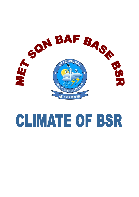

# **CLIMATE OF BSR**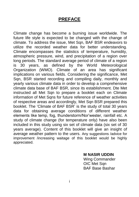## **PREFACE**

Climate change has become a burning issue worldwide. The future life style is expected to be changed with the change of climate. To address the issue, Met Sqn, BAF BSR endeavors to utilize the recorded weather data for better understanding. Climate encompasses the statistics of temperature, humidity, atmospheric pressure, wind, and precipitation of a region over long periods. The standard average period of climate of a region is 30 years, as defined by the World Meteorological Organization (WMO). Climate of an area has significant implications on various fields. Considering the significance, Met Sqn, BSR started recording and compiling daily, monthly and yearly various climate data in order to develop a comprehensive climate data base of BAF BSR, since its establishment. Dte Met instructed all Met Sqn to prepare a booklet each on Climate information of Met Sqns for future reference of weather activities of respective areas and accordingly, Met Sqn BSR prepared this booklet. The 'Climate of BAF BSR' is the study of total 30 years data for obtaining average conditions of different weather elements like temp, fog, thunderstorm/Nor'wester, rainfall etc. A study of climate change (for temperature only) have also been included in this study using six set of climate data (six set of 30 years average). Content of this booklet will give an insight of average weather pattern to the users. Any suggestions /advice for improvement /increasing waitage of this booklet would be highly appreciated.

> **M NASIR UDDIN**  Wing Commander

OIC Met Sqn BAF Base Bashar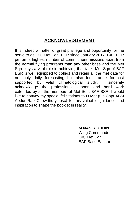# **ACKNOWLEDGEMENT**

It is indeed a matter of great privilege and opportunity for me serve to as OIC Met Sqn, BSR since January 2017. BAF BSR performs highest number of commitment missions apart from the normal flying programs than any other base and the Met Sqn plays a vital role in achieving that task. Met Sqn of BAF BSR is well equipped to collect and retain all the met data for not only daily forecasting but also long range forecast supported by valid climatological study. I sincerely acknowledge the professional support and hard work extended by all the members of Met Sqn, BAF BSR, I would like to convey my special felicitations to D Met (Gp Capt ABM Abdur Rab Chowdhury, psc) for his valuable guidance and inspiration to shape the booklet in reality.

> **M NASIR UDDIN**  Wing Commander OIC Met San BAF Base Bashar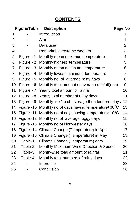# **CONTENTS**

|    | <b>Figure/Table</b> | <b>Description</b>                                        | Page No        |
|----|---------------------|-----------------------------------------------------------|----------------|
| 1  |                     | Introduction                                              | 1              |
| 2  |                     | Aim                                                       | 1              |
| 3  |                     | Data used                                                 | $\overline{2}$ |
| 4  |                     | Remarkable extreme weather                                | 3              |
| 5  | Figure - 1          | Monthly mean maximum temperature                          | $\overline{4}$ |
| 6  | Figure - 2          | Monthly highest temperature                               | 5              |
| 7  | Figure - 3          | Monthly mean minimum temperature                          | 6              |
| 8  | Figure - 4          | Monthly lowest minimum temperature                        | $\overline{7}$ |
| 9  | Figure - 5          | Monthly no of average rainy days                          | 8              |
| 10 | Figure - 6          | Monthly total amount of average rainfall(mm)              | 9              |
| 11 | Figure - 7          | Yearly total amount of rainfall                           | 10             |
| 12 | Figure - 8          | Yearly total number of rainy days                         | 11             |
| 13 | Figure - 9          | Monthly no No of average thunderstorm days                | 12             |
| 14 | Figure -10          | Monthly no of days having temperature $\geq 38^{\circ}$ C | 13             |
| 15 | Figure -11          | Monthly no of days having temperature $\leq 10^{\circ}$ C | 14             |
| 16 | Figure -12          | Monthly no of average foggy days                          | 15             |
| 17 | Figure -13          | Monthly no of Nor'wester days                             | 16             |
| 18 |                     | Figure -14 Climate Change (Temperature) in April          | 17             |
| 19 |                     | Figure -15 Climate Change (Temperature) in May            | 18             |
| 20 | Table-1             | Climate Change (Temperature) data                         | 19             |
| 21 | Table-2             | Monthly Maximum Wind Direction & Speed                    | 20             |
| 22 | Table-3             | Month-wise total amount of rainfall                       | 21             |
| 23 | Table-4             | Monthly total numbers of rainy days                       | 22             |
| 24 |                     | Inference                                                 | 23             |
| 25 |                     | Conclusion                                                | 26             |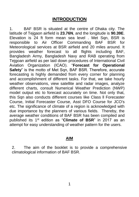## **INTRODUCTION**

1. BAF BSR is situated at the centre of Dhaka city. The latitude of Tejgaon airfield is **23.76N**, and the longitude is **90.39E**. Elevation is 24 ft form mean sea level . Met Sqn, BSR is responsible to Air Officer Commanding BAF BSR for Meteorological services at BSR airfield and 20 miles around. It provides weather forecast to all flights including BAF, Bangladesh Army, Bangladesh Navy and RAB operating from Tejgoan airfield as per laid down procedures of International Civil Aviation Organization (ICAO). "**Forecast for Operational Safety**" is the motto of Met Sqn, BAF BSR. Therefore, accurate forecasting is highly demanded from every corner for planning and accomplishment of different tasks. For that, we take hourly weather observations, view satellite and radar images, analyze different charts, consult Numerical Weather Prediction (NWP) model output etc to forecast accurately on time. Not only that, this Sqn also conducts different courses like Class ll Forecaster Course, Initial Forecaster Course, Asst DFO Course for JCO's etc. The significance of climate of a region is acknowledged with due importance by the planners of various fields. Thereby, the average weather conditions of BAF BSR has been compiled and published its 1st edition as "**Climate of BSR**" in 2017 as an attempt for easy understanding of weather pattern for the users.

#### **AIM**

2. The aim of the booklet is to provide a comprehensive climatological information of BAF BSR.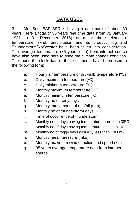## **DATA USED**

3. Met Sqn, BAF BSR is having a data bank of about 30 years. Here a total of 30 years real time data (from 01 January 1981 to 31 December 2016) of major three elements: [temperature,](http://en.wikipedia.org/wiki/Temperature) [wind,](http://en.wikipedia.org/wiki/Wind) precipitation and its product: fog and Thunderstorm/Nor'wester have been taken into consideration. The average temperature (35 years data) from internet source have also been used here to shoe the climate change condition. The round the clock data of those elements have been used in the following form:

- a. Hourly air temperature or dry-bulb temperature (ºC)
- b. Daily maximum temperature (ºC)
- c. Daily minimum temperature (ºC)
- d. Monthly maximum temperature (ºC)
- e. Monthly minimum temperature (ºC)
- f. Monthly no of rainy days
- g. Monthly total amount of rainfall (mm)
- h. Monthly no of thunderstorm days
- j. Time of occurrence of thunderstorm
- k. Monthly no of days having temperature more than 38ºC
- l. Monthly no of days having temperature less than 10ºC
- m. Monthly no of foggy days (visibility less than 1000m)
- n. Monthly mean pressure (mbs)
- p. Monthly maximum wind direction and speed (kts)
- q. 35 years average temperature data from internet source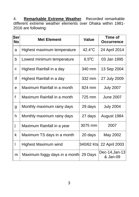4. **Remarkable Extreme Weather**. Recorded remarkable different extreme weather elements over Dhaka within 1981- 2016 are following:

| Ser<br><b>No</b> | <b>Met Element</b>            | <b>Value</b>         | Time of<br><b>Occurrence</b> |
|------------------|-------------------------------|----------------------|------------------------------|
| a                | Highest maximum temperature   | 42.4°C               | 24 April 2014                |
| b                | Lowest minimum temperature    | $6.5$ <sup>o</sup> C | 03 Jan 1995                  |
| $\mathbf c$      | Highest Rainfall in a day     | 340 mm               | 13 Sep 2004                  |
| d                | Highest Rainfall in a day     | 332 mm               | 27 July 2009                 |
| e                | Maximum Rainfall in a month   | 824 mm               | <b>July 2007</b>             |
| f                | Maximum Rainfall in a month   | 725 mm               | <b>June 2007</b>             |
| g                | Monthly maximum rainy days    | 29 days              | <b>July 2004</b>             |
| h                | Monthly maximum rainy days    | 27 days              | August 1984                  |
| İ                | Maximum Rainfall in a year    | 3075 mm              | 2007                         |
| k                | Maximum TS days in a month    | 20 days              | May 2002                     |
|                  | <b>Highest Maximum wind</b>   |                      | 340/62 Kts 22 April 2003     |
| m                | Maximum foggy days in a month | 29 Days              | Dec-14, Jan-13<br>& Jan-09   |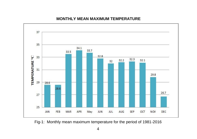

#### **MONTHLY MEAN MAXIMUM TEMPERATURE**

Fig-1: Monthly mean maximum temperature for the period of 1981-2016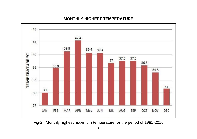

#### **MONTHLY HIGHEST TEMPERATURE**

Fig-2: Monthly highest maximum temperature for the period of 1981-2016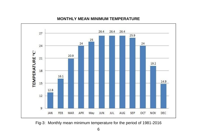

#### **MONTHLY MEAN MINIMUM TEMPERATURE**

Fig-3: Monthly mean minimum temperature for the period of 1981-2016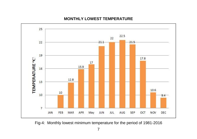

#### **MONTHLY LOWEST TEMPERATURE**

Fig-4: Monthly lowest minimum temperature for the period of 1981-2016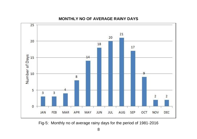

#### **MONTHLY NO OF AVERAGE RAINY DAYS**

Fig-5: Monthly no of average rainy days for the period of 1981-2016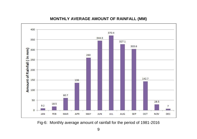

#### **MONTHLY AVERAGE AMOUNT OF RAINFALL (MM)**

Fig-6: Monthly average amount of rainfall for the period of 1981-2016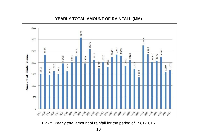

#### **YEARLY TOTAL AMOUNT OF RAINFALL (MM)**

Fig-7: Yearly total amount of rainfall for the period of 1981-2016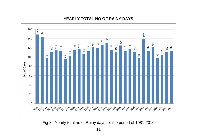

#### **YEARLY TOTAL NO OF RAINY DAYS**

Fig-8: Yearly total no of Rainy days for the period of 1981-2016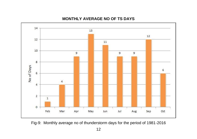

#### **MONTHLY AVERAGE NO OF TS DAYS**

Fig-9: Monthly average no of thunderstorm days for the period of 1981-2016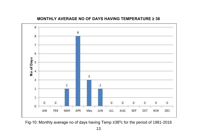

**MONTHLY AVERAGE NO OF DAYS HAVING TEMPERATURE ≥ 38**

Fig-10: Monthly average no of days having Temp ≥38<sup>0</sup>c for the period of 1981-2016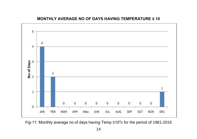

#### **MONTHLY AVERAGE NO OF DAYS HAVING TEMPERATURE ≤ 10**

Fig-11: Monthly average no of days having Temp  $\leq 10^0$ c for the period of 1981-2016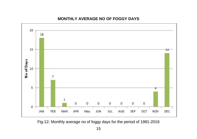

#### **MONTHLY AVERAGE NO OF FOGGY DAYS**

Fig-12: Monthly average no of foggy days for the period of 1981-2016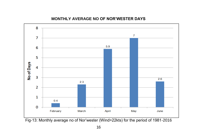

#### **MONTHLY AVERAGE NO OF NOR'WESTER DAYS**

Fig-13: Monthly average no of Nor'wester (Wind>22kts) for the period of 1981-2016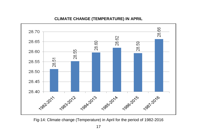

#### **CLIMATE CHANGE (TEMPERATURE) IN APRIL**

Fig-14: Climate change (Temperature) in April for the period of 1982-2016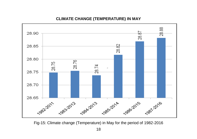

#### **CLIMATE CHANGE (TEMPERATURE) IN MAY**

Fig-15: Climate change (Temperature) in May for the period of 1982-2016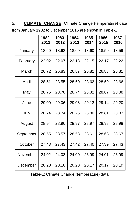5. **CLIMATE CHANGE:** Climate Change (temperature) data from January 1982 to December 2016 are shown in Table-1

|           | 1982-<br>2011 | 1983-<br>2012 | 1984-<br>2013 | 1985-<br>2014 | 1986-<br>2015 | 1987-<br>2016 |
|-----------|---------------|---------------|---------------|---------------|---------------|---------------|
| January   | 18.60         | 18.62         | 18.60         | 18.60         | 18.59         | 18.59         |
| February  | 22.02         | 22.07         | 22.13         | 22.15         | 22.17         | 22.22         |
| March     | 26.72         | 26.83         | 26.87         | 26.82         | 26.83         | 26.81         |
| April     | 28.51         | 28.55         | 28.60         | 28.62         | 28.59         | 28.66         |
| May       | 28.75         | 28.76         | 28.74         | 28.82         | 28.87         | 28.88         |
| June      | 29.00         | 29.06         | 29.08         | 29.13         | 29.14         | 29.20         |
| July      | 28.74         | 28.74         | 28.75         | 28.80         | 28.81         | 28.83         |
| August    | 28.94         | 28.96         | 28.97         | 28.97         | 28.98         | 28.98         |
| September | 28.55         | 28.57         | 28.58         | 28.61         | 28.63         | 28.67         |
| October   | 27.43         | 27.43         | 27.42         | 27.40         | 27.39         | 27.43         |
| November  | 24.02         | 24.03         | 24.00         | 23.99         | 24.01         | 23.99         |
| December  | 20.20         | 20.18         | 20.20         | 20.17         | 20.17         | 20.19         |

Table-1: Climate Change (temperature) data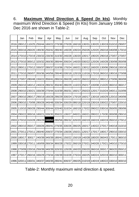#### 6. **Maximum Wind Direction & Speed (In kts)**. Monthly maximum Wind Direction & Speed (In Kts) from January 1996 to Dec 2016 are shown in Table-2:

|      | Jan           | Feb                                | Mar           | Apr           | May                                       | Jun    | Jul           | Aug                                                     | Sep           | Oct                  | Nov                  | Dec           |
|------|---------------|------------------------------------|---------------|---------------|-------------------------------------------|--------|---------------|---------------------------------------------------------|---------------|----------------------|----------------------|---------------|
| 2016 | 280/12        | 110/25                             | 250/44        | 160/22        | 270/38 270/28                             |        | 160/18        | 130/31                                                  | 130/20        | 130/19               | 010/10               | 290/07        |
| 2015 | 300/16 260/20 |                                    | 190/30        |               | 250/42 280/40 140/28                      |        |               | 100/24 250/26                                           | 120/20        |                      | 260/18 040/08 170/10 |               |
| 2014 |               |                                    |               |               | 270/101270/191230/331230/301310/301240/28 |        | 130/201100/17 |                                                         |               | 190/201290/181270/07 |                      | 270/07        |
| 2013 | 270/10 300/12 |                                    | 320/32        |               | 260/30 280/44 200/24                      |        | 140/20 030/22 |                                                         | 120/26        |                      | 160/28 230/08 350/08 |               |
| 2012 |               | 280/11 270/12                      | 330/37 280/37 |               | 310/36 170/24                             |        |               | 160/21 130/12 160/20                                    |               |                      | 130/06 290/16 150/16 |               |
| 2011 | 270/101260/07 |                                    |               |               | 350/361340/561290/401030/18               |        |               | 120/19 110/16                                           |               | 170/18 360/10        |                      | 190/16 270/08 |
| 2010 |               |                                    |               |               | 270/07 280/48 150/22 350/41 280/24 260/28 |        |               | 140/22 260/22 200/12                                    |               |                      | 080/12 270/06 360/08 |               |
| 2009 |               |                                    |               |               | 260/10 340/12 240/24 280/32 350/40 280/29 |        | 110/231250/17 |                                                         | 100/08        | 210/20               | 360/10               | 360/17        |
| 2008 | 290/10 230/21 |                                    | 330/39        |               | 270/44 310/39 260/31                      |        | 160/17        | 250/23                                                  | 120/17        | 010/24 340/11        |                      | 310/06        |
| 2007 | 290/101280/17 |                                    | 290/19        |               | 160/26 290/29 330/24                      |        | 170/19        | 160/17                                                  |               | 130/18 160/29        | 120/10               | 340/06        |
| 2006 | 290/10        | 170/081280/28                      |               |               | 340/48 330/34 330/29                      |        |               | 080/18 220/19 230/19                                    |               | 330/22               | 270/07               | 220/10        |
| 2005 |               | 110/10 260/28 290/44               |               |               | 300/44 320/40 310/24                      |        | 160/19 170/22 |                                                         | 090/22        |                      | 030/16 350/05 280/06 |               |
| 2004 |               | 290/22 300/16 160/21               |               | 330/30 350/22 |                                           | 130/27 | 340/21 160/21 |                                                         | 090/22        |                      | 170/30 300/08 290/10 |               |
| 2003 |               |                                    |               |               |                                           |        |               | 270/10 310/28 280/28 340/62 280/56 280/32 320/20 160/19 | 160/19        | 160/19               | 350/10 270/12        |               |
| 2002 | 280/10 350/17 |                                    |               |               | 330/26 280/41 270/35 330/26 280/25 160/17 |        |               |                                                         | 140/22 270/17 |                      |                      | 040/18 310/10 |
| 2001 | 270/11 270/11 |                                    |               |               | 1280/401200/371270/341130/261150/21       |        |               | 120/171170/17                                           |               | 180/17               | 290/101330/10        |               |
| 2000 | 180/17        | 30017                              | 240/39        | 340/39 180/41 |                                           | 150/22 |               | 150/19 140/28                                           | 180/20        | 360/43               | 170/11               | 360/10        |
| 1999 | 330/18 270/11 |                                    | 160/09        |               | 260/34 360/28 170/22                      |        | 260/19 270/21 |                                                         | 340/28        | 170/21               | 340/10 270/10        |               |
| 1998 |               | 270/09 220/16 250/39               |               |               | 340/39 320/33 120/28                      |        | 160/20 200/20 |                                                         | 360/18        | 300/17               | 360/20               | 050/12        |
| 1997 | 270/17        | 260/16 330/29                      |               |               | 270/34 230/39 010/28                      |        |               | 270/24 160/25 340/24                                    |               | 320/19               | 360/10               | 300/11        |
| 1996 |               | 320/11 330/31 340/37 340/35 280/41 |               |               |                                           |        |               | 1300/371280/251210/191140/19                            |               | 180/22               | 330/10               | 300/10        |

Table-2: Monthly maximum wind direction & speed.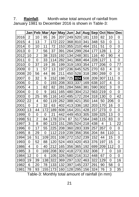7. **Rainfall**. Month-wise total amount of rainfall from January 1981 to December 2016 is shown in Table-3:

|      | Jan | Feb            | <b>Mar</b> | Apr | <b>May</b> | Jun | Jul | Aug | <b>Sep</b> | Oct | Nov | <b>Dec</b>              |
|------|-----|----------------|------------|-----|------------|-----|-----|-----|------------|-----|-----|-------------------------|
| 2016 | 2   | 10             | 95         | 26  | 207        | 249 | 520 | 181 | 133        | 82  | 10  | 0                       |
| 2015 | 4   | 13             | 7          | 172 | 222        | 368 | 810 | 341 | 348        | 53  | 0   | 1                       |
| 2014 | 0   | 10             | 11         | 72  | 153        | 355 | 210 | 464 | 151        | 51  | 0   | 0                       |
| 2013 | 0   | 7              | 56         | 37  | 391        | 264 | 299 | 264 | 177        | 128 | 1   | $\overline{\mathbf{c}}$ |
| 2012 | 10  | 2              | 38         | 315 | 192        | 134 | 248 | 301 | 116        | 40  | 90  | 4                       |
| 2011 | 0   | 0              | 33         | 114 | 282        | 341 | 368 | 464 | 228        | 127 | 1   | 0                       |
| 2010 | 0   | 37             | 19         | 35  | 199        | 319 | 193 | 354 | 177        | 206 | 0   | 77                      |
| 2009 | 0   | 1              | 57         | 13  | 197        | 236 | 645 | 525 | 270        | 63  | 4   | 0                       |
| 2008 | 20  | 56             | 44         | 86  | 211        | 450 | 528 | 318 | 280        | 269 | 0   | 0                       |
| 2007 | 0   | 32             | 9          | 152 | 198        | 725 | 824 | 508 | 209        | 307 | 111 | 0                       |
| 2006 | 0   | 0              | 0          | 193 | 208        | 303 | 337 | 169 | 638        | 107 | 4   | 0                       |
| 2005 | 4   | 1              | 82         | 82  | 281        | 284 | 566 | 381 | 590        | 302 | 3   | 0                       |
| 2004 | 0   | $\overline{0}$ | 9          | 161 | 165        | 480 | 304 | 212 | 563        | 219 | 0   | 0                       |
| 2003 | 0   | 25             | 95         | 116 | 143        | 495 | 172 | 204 | 318        | 130 | 0   | 42                      |
| 2002 | 22  | 4              | 60         | 119 | 262        | 388 | 421 | 350 | 144        | 50  | 206 | 0                       |
| 2001 | 0   | 2              | 32         | 63  | 402        | 413 | 336 | 182 | 203        | 170 | 16  | 0                       |
| 2000 | 13  | 44             | 172        | 189 | 608        | 164 | 201 | 428 | 157        | 273 | 0   | 0                       |
| 1999 | 0   | 0              | 0          | 21  | 442        | 449 | 453 | 305 | 339        | 325 | 13  | 0                       |
| 1998 | 51  | $\overline{2}$ | 84         | 178 | 374        | 87  | 517 | 564 | 248        | 115 | 83  | 0                       |
| 1997 | 3   | 8              | 80         | 123 | 151        | 285 | 524 | 218 | 438        | 4   | 1   | 22                      |
| 1996 | 0   | 17             | 55         | 225 | 208        | 360 | 283 | 339 | 257        | 357 | 0   | 0                       |
| 1995 | 8   | 29             | 0          | 112 | 219        | 239 | 356 | 356 | 204        | 84  | 110 | 1                       |
| 1994 | 16  | 51             | 109        | 201 | 108        | 272 | 152 | 239 | 152        | 44  | 15  | 0                       |
| 1993 | 0   | 52             | 88         | 120 | 524        | 493 | 420 | 453 | 376        | 197 | 15  | 0                       |
| 1986 | 4   | 0              | 40         | 212 | 165        | 356 | 365 | 192 | 699        | 209 | 112 | 0                       |
| 1985 | 3   | 0              | 169        | 208 | 302        | 418 | 273 | 332 | 308        | 7   | 0   | 10                      |
| 1984 | 12  | 0              | 6          | 105 | 326        | 580 | 216 | 312 | 448        | 67  | 0   | 0                       |
| 1983 | 19  | 39             | 138        | 322 | 369        | 297 | 132 | 463 | 322        | 129 | 0   | 16                      |
| 1982 | 6   | 20             | 78         | 133 | 132        | 397 | 145 | 237 | 291        | 90  | 58  | 0                       |
| 1981 | 78  | 93             | 155        | 173 | 160        | 128 | 295 | 156 | 324        | 76  | 3   | 35                      |

Table-3: Monthly total amount of rainfall (in mm)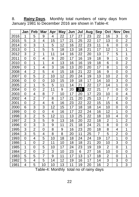8. **Rainy Days**. Monthly total numbers of rainy days from January 1981 to December 2016 are shown in Table-4:

|      | Jan            | Feb            | <b>Mar</b>     | Apr | <b>May</b> | Jun | Jul | Aug | <b>Sep</b>     | Oct            | Nov            | <b>Dec</b>     |
|------|----------------|----------------|----------------|-----|------------|-----|-----|-----|----------------|----------------|----------------|----------------|
| 2016 | 1              | 5              | 9              | 4   | 22         | 17  | 27  | 23  | 22             | 16             | 3              | 0              |
| 2015 | 5              | 3              | 4              | 15  | 17         | 21  | 25  | 22  | 17             | 13             | 0              | 2              |
| 2014 | $\overline{0}$ | 3              | 1              | 5   | 12         | 16  | 22  | 23  | 11             | 6              | $\overline{0}$ | 0              |
| 2013 | 0              | 1              | 5              | 5   | 18         | 13  | 18  | 21  | 17             | 12             | 1              | 1              |
| 2012 | 3              | 2              | 1              | 11  | 14         | 16  | 22  | 20  | 13             | 7              | 5              | 1              |
| 2011 | 0              | 0              | 4              | 9   | 20         | 17  | 16  | 19  | 18             | 9              | 1              | 0              |
| 2010 | 0              | 1              | 1              | 4   | 13         | 16  | 16  | 19  | 18             | 6              | 0              | $\overline{2}$ |
| 2009 | $\overline{0}$ | 1              | 4              | 3   | 16         | 13  | 20  | 20  | 17             | 8              | 1              | 0              |
| 2008 | 4              | $\overline{2}$ | 5              | 4   | 15         | 18  | 21  | 22  | 16             | 9              | $\mathbf 0$    | 0              |
| 2007 | 0              | 5              | $\overline{2}$ | 10  | 12         | 20  | 24  | 19  | 13             | 10             | 2              | $\mathbf 0$    |
| 2006 | 0              | 0              | 0              | 10  | 15         | 19  | 18  | 17  | 14             | 10             | 3              | 0              |
| 2005 | $\overline{2}$ | 1              | 5              | 5   | 11         | 14  | 21  | 22  | 17             | 14             | $\overline{1}$ | 0              |
| 2004 | 0              | 0              | $\overline{2}$ | 11  | 9          | 20  | 29  | 22  | 21             | $\overline{7}$ | 0              | 0              |
| 2003 | 0              | 4              | 8              | 7   | 10         | 17  | 20  | 17  | 23             | 10             | $\mathbf 0$    | 4              |
| 2002 | 4              | 2              | $\overline{7}$ | 8   | 17         | 21  | 20  | 25  | 13             | 7              | 2              | $\mathbf 0$    |
| 2001 | $\overline{0}$ | $\overline{2}$ | 4              | 6   | 16         | 23  | 22  | 22  | 15             | 15             | 6              | $\mathbf 0$    |
| 2000 | 6              | 3              | 3              | 12  | 15         | 17  | 18  | 18  | 14             | 10             | 0              | 0              |
| 1999 | 0              | 0              | $\overline{0}$ | 4   | 16         | 17  | 22  | 24  | 16             | 12             | 1              | $\mathbf 0$    |
| 1998 | 3              | 2              | 5              | 12  | 11         | 13  | 25  | 22  | 18             | 10             | 4              | 0              |
| 1997 | $\overline{2}$ | 3              | 5              | 9   | 13         | 16  | 20  | 22  | 18             | 2              | 1              | 2              |
| 1996 | 0              | 3              | 3              | 9   | 11         | 21  | 18  | 24  | 21             | 8              | 0              | 0              |
| 1995 | 3              | $\overline{2}$ | 0              | 8   | 9          | 16  | 23  | 20  | 18             | 8              | 4              | 1              |
| 1994 | 3              | 5              | 4              | 8   | 8          | 20  | 11  | 25  | $\overline{7}$ | 5              | 2              | $\mathbf 0$    |
| 1993 | $\overline{0}$ | 4              | 5              | 10  | 18         | 18  | 24  | 24  | 19             | 17             | $\overline{1}$ | $\mathbf 0$    |
| 1986 | 1              | 0              | 2              | 11  | 10         | 18  | 18  | 21  | 20             | 10             | 3              | 0              |
| 1985 | 1              | 0              | 5              | 10  | 17         | 24  | 23  | 19  | 19             | $\overline{2}$ | $\overline{0}$ | 1              |
| 1984 | 2              | 0              | $\overline{2}$ | 3   | 10         | 23  | 6   | 27  | 16             | 10             | 0              | 0              |
| 1983 | 5              | 5              | $\overline{7}$ | 9   | 11         | 17  | 13  | 17  | 18             | 2              | 0              | 1              |
| 1982 | 5              | 4              | 5              | 14  | 12         | 19  | 16  | 17  | 14             | 3              | 3              | $\mathbf 0$    |
| 1981 | 4              | 5              | 10             | 10  | 13         | 11  | 19  | 20  | 16             | $\overline{2}$ | 1              | 3              |

Table-4: Monthly total no of rainy days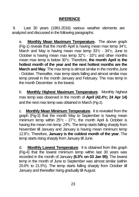#### **INFERENCE**

9. Last 30 years (1981-2016) various weather elements are analyzed and discussed in the following paragraphs:

a. **Monthly Mean Maximum Temperature.** The above graph (Fig-1) reveals that the month April is having mean max temp 34°c, March and May is having mean max temp 33°c - 34°c, June to October is having mean max temp 32°c - 33°c and other months mean max temp is below 30°c. Therefore, **the month April is the hottest month of the year and the next hottest months are the March and May**. The max temp is almost similar in the months June - October. Thereafter, max temp starts falling and almost similar max temp prevail in the month January and February. The max temp in the month December is the lowest.

b. **Monthly Highest Maximum Temperature.** Monthly highest max temp was observed in the month of **April (42.4ºc; 24 Apr 14)** and the next max temp was obtained in March (Fig-2).

c. **Monthly Mean Minimum Temperature.** It is revealed from the graph (Fig-3) that the month May to September is having mean minimum temp within 25°c - 27°c, the month April & October is having the mean min temp 24ºc. The temp starts falling sharply from November till January and January is having mean minimum temp 12.8°c. Therefore, **January is the coldest month of the year**. The temp starts rising sharply from January till June.

d. **Monthly Lowest Temperature**. It is obtained from this graph (Fig-4) that the lowest minimum temp within last 30 years was recorded in the month of January **(6.5<sup>0</sup>c on 03 Jan 95)**. The lowest temp in the month of June to September was almost similar (within 20.6ºc to 21.5ºc). The temp starts falling sharply from October till January and thereafter rising gradually till August.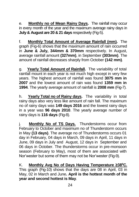e. **Monthly no of Mean Rainy Days.** The rainfall may occur in every month of the year and the maximum average rainy days in **July & August are 20 & 21 days** respectively (Fig-5).

f. **Monthly Total Amount of Average Rainfall (mm).** The graph (Fig-6) shows that the maximum amount of rain occurred in **June & July, 344mm & 370mm** respectively. In August, average rainfall amount **(327mm)**, in September **(303mm)**. The amount of rainfall decreases sharply from October **(142 mm)**.

g. **Yearly Total Amount of Rainfall.** The variability of total rainfall mount in each year is not much high except in very few years. The highest amount of rainfall was found **3075 mm in 2007** and the lowest amount of rain was found **1359 mm in 1994**. The yearly average amount of rainfall is **2008 mm** (Fig-7).

h. **Yearly Total no of Rainy days.** The variability in total rainy days also very less like amount of rain fall. The maximum no of rainy days was **149 days 2016** and the lowest rainy days in a year was **96 days 2010**. The yearly average number of rainy days is **116 days** (Fig-8).

j. **Monthly No of TS Days.** Thunderstorms occur from February to October and maximum no of Thunderstorm occurs in May **(13 days)**. The average no of Thunderstorms occurs 01 day in February, 04 days in March, 09 days in April, 11 days in June, 09 days in July and August, 12 days in September and 06 days in October. The thunderstorms occur in pre-monsoon season (February to May), most of them are associated with Nor'wester but some of them may not be Nor'wester (Fig-9).

K. **Monthly Avg No of Days Having Temperature ≥38<sup>0</sup>C.**  This graph (Fig-10) shows that the days are 08 in April, 03 in May, 02 in March and June**. April is the hottest month of the year and second hottest is May**.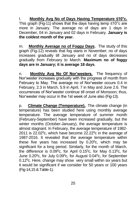l. **Monthly Avg No of Days Having Temperature ≤10°c.**  This graph (Fig-11) shows that the days having temp ≤10°c are more in January. The average no of days are 1 days in December, 04 in January and 02 days in February. **January is the coldest month of the year.**

m. **Monthly Average no of Foggy Days.** The study of this graph (Fig-12) reveals that fog starts in November; no of days increases gradually till January and no of days decreases gradually from February to March. **Maximum no of foggy days are in January; it is average 18 days**.

n. **Monthly Avg No Of Nor'westers.** The frequency of Nor'wester increases gradually with the progress of month from February to May. The average no of Nor'wester occurs 0.4 in February, 2.3 in March, 5.9 in April, 7 in May and June 2.6. The occurrences of Nor'wester continue till onset of Monsoon; thus, Nor'wester may occur in the 1st week of June also (Fig-13).

p. **Climate Change (Temperature).**. The climate change (in temperature) has been studied here using monthly average temperature. The average temperature of summer month (February-September) have been increased gradually, but the winter months (October-January), the average temperature is almost stagnant. In February, the average temperature of 1982- 2011 is  $22.02^{\circ}$ c, which have become  $22.22^{\circ}$ c in the average of 1987-2016. It revealed that the average temperature within these five years has increased by  $0.20^{\circ}$ c, which may be significant for a long period. Similarly, for the month of March, the difference is  $0.09^{\circ}$ c, for April 0.15 $^{\circ}$ c, for May 0.13 $^{\circ}$ c, for June 0.20<sup>0</sup>c, for July 0.09<sup>0</sup>c, for August 0.04<sup>0</sup>c, for September 0.12<sup>0</sup>c. Here, change may show very small within six years but it would be significant if we consider for 50 years or 100 years (Fig-14,15 & Table-1).